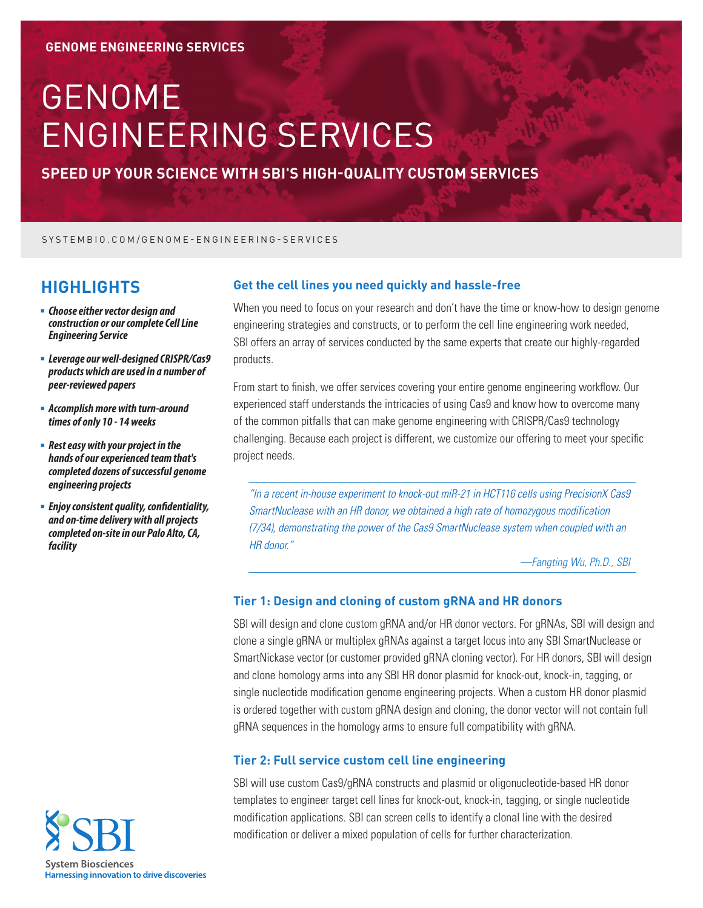# GENOME ENGINEERING SERVICES

**SPEED UP YOUR SCIENCE WITH SBI'S HIGH-QUALITY CUSTOM SERVICES**

SYSTEMBIO.COM/GENOME-ENGINEERING-SERVICES

## **HIGHLIGHTS**

- <sup>n</sup> *Choose either vector design and construction or our complete Cell Line Engineering Service*
- <sup>n</sup> *Leverage our well-designed CRISPR/Cas9 products which are used in a number of peer-reviewed papers*
- <sup>n</sup> *Accomplish more with turn-around times of only 10 - 14 weeks*
- <sup>n</sup> *Rest easy with your project in the hands of our experienced team that's completed dozens of successful genome engineering projects*
- **Enjoy consistent quality, confidentiality,** *and on-time delivery with all projects completed on-site in our Palo Alto, CA, facility*

#### **Get the cell lines you need quickly and hassle-free**

When you need to focus on your research and don't have the time or know-how to design genome engineering strategies and constructs, or to perform the cell line engineering work needed, SBI offers an array of services conducted by the same experts that create our highly-regarded products.

From start to finish, we offer services covering your entire genome engineering workflow. Our experienced staff understands the intricacies of using Cas9 and know how to overcome many of the common pitfalls that can make genome engineering with CRISPR/Cas9 technology challenging. Because each project is different, we customize our offering to meet your specific project needs.

*"In a recent in-house experiment to knock-out miR-21 in HCT116 cells using PrecisionX Cas9 SmartNuclease with an HR donor, we obtained a high rate of homozygous modification (7/34), demonstrating the power of the Cas9 SmartNuclease system when coupled with an HR donor."*

*—Fangting Wu, Ph.D., SBI*

#### **Tier 1: Design and cloning of custom gRNA and HR donors**

SBI will design and clone custom gRNA and/or HR donor vectors. For gRNAs, SBI will design and clone a single gRNA or multiplex gRNAs against a target locus into any SBI SmartNuclease or SmartNickase vector (or customer provided gRNA cloning vector). For HR donors, SBI will design and clone homology arms into any SBI HR donor plasmid for knock-out, knock-in, tagging, or single nucleotide modification genome engineering projects. When a custom HR donor plasmid is ordered together with custom gRNA design and cloning, the donor vector will not contain full gRNA sequences in the homology arms to ensure full compatibility with gRNA.

### **Tier 2: Full service custom cell line engineering**

SBI will use custom Cas9/gRNA constructs and plasmid or oligonucleotide-based HR donor templates to engineer target cell lines for knock-out, knock-in, tagging, or single nucleotide modification applications. SBI can screen cells to identify a clonal line with the desired modification or deliver a mixed population of cells for further characterization.